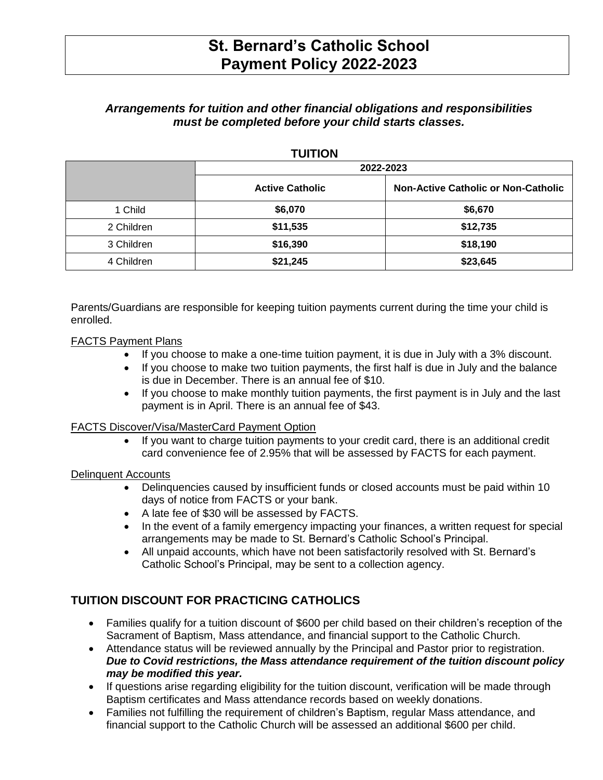# **St. Bernard's Catholic School Payment Policy 2022-2023**

### *Arrangements for tuition and other financial obligations and responsibilities must be completed before your child starts classes.*

#### **TUITION**

|            | 2022-2023              |                                            |
|------------|------------------------|--------------------------------------------|
|            | <b>Active Catholic</b> | <b>Non-Active Catholic or Non-Catholic</b> |
| 1 Child    | \$6,070                | \$6,670                                    |
| 2 Children | \$11,535               | \$12,735                                   |
| 3 Children | \$16,390               | \$18,190                                   |
| 4 Children | \$21,245               | \$23,645                                   |

Parents/Guardians are responsible for keeping tuition payments current during the time your child is enrolled.

### FACTS Payment Plans

- If you choose to make a one-time tuition payment, it is due in July with a 3% discount.
- If you choose to make two tuition payments, the first half is due in July and the balance is due in December. There is an annual fee of \$10.
- If you choose to make monthly tuition payments, the first payment is in July and the last payment is in April. There is an annual fee of \$43.

#### FACTS Discover/Visa/MasterCard Payment Option

 If you want to charge tuition payments to your credit card, there is an additional credit card convenience fee of 2.95% that will be assessed by FACTS for each payment.

### Delinquent Accounts

- Delinquencies caused by insufficient funds or closed accounts must be paid within 10 days of notice from FACTS or your bank.
- A late fee of \$30 will be assessed by FACTS.
- In the event of a family emergency impacting your finances, a written request for special arrangements may be made to St. Bernard's Catholic School's Principal.
- All unpaid accounts, which have not been satisfactorily resolved with St. Bernard's Catholic School's Principal, may be sent to a collection agency.

## **TUITION DISCOUNT FOR PRACTICING CATHOLICS**

- Families qualify for a tuition discount of \$600 per child based on their children's reception of the Sacrament of Baptism, Mass attendance, and financial support to the Catholic Church.
- Attendance status will be reviewed annually by the Principal and Pastor prior to registration. *Due to Covid restrictions, the Mass attendance requirement of the tuition discount policy may be modified this year.*
- If questions arise regarding eligibility for the tuition discount, verification will be made through Baptism certificates and Mass attendance records based on weekly donations.
- Families not fulfilling the requirement of children's Baptism, regular Mass attendance, and financial support to the Catholic Church will be assessed an additional \$600 per child.